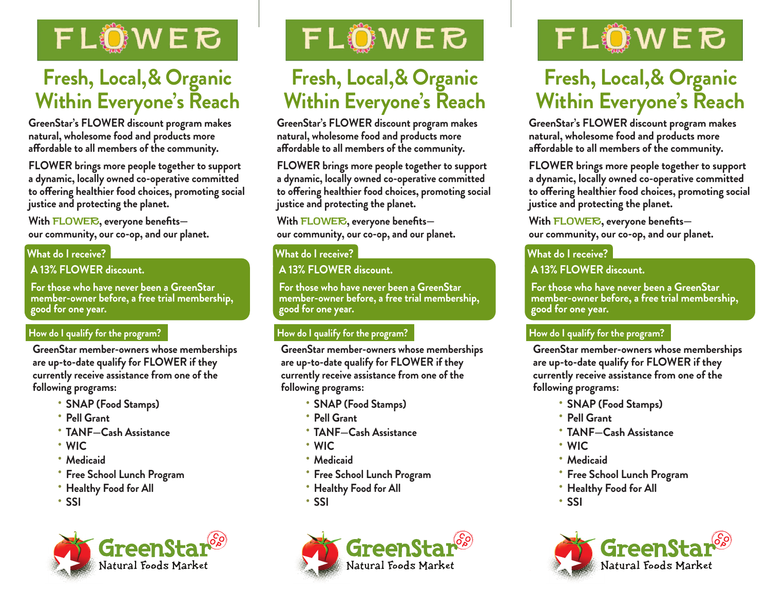

# **Fresh, Local,& Organic Within Everyone's Reach**

**GreenStar's FLOWER discount program makes natural, wholesome food and products more**  affordable to all members of the community.

**FLOWER brings more people together to support a dynamic, locally owned co-operative committed**  to offering healthier food choices, promoting social **justice and protecting the planet.**

**With** FLOWER**, everyone benefits our community, our co-op, and our planet.**

## **What do I receive?**

**A 13% FLOWER discount.**

**For those who have never been a GreenStar member-owner before, a free trial membership, good for one year.**

# **How do I qualify for the program?**

**GreenStar member-owners whose memberships are up-to-date qualify for FLOWER if they currently receive assistance from one of the following programs:**

- **SNAP (Food Stamps)**
- **Pell Grant**
- **TANF—Cash Assistance**
- **WIC**
- **Medicaid**
- **Free School Lunch Program**
- **Healthy Food for All**
- **SSI**





# **Fresh, Local,& Organic Within Everyone's Reach**

**GreenStar's FLOWER discount program makes natural, wholesome food and products more**  affordable to all members of the community.

**FLOWER brings more people together to support a dynamic, locally owned co-operative committed**  to offering healthier food choices, promoting social **justice and protecting the planet.**

**With** FLOWER**, everyone benefits our community, our co-op, and our planet.**

## **What do I receive?**

# **A 13% FLOWER discount.**

**For those who have never been a GreenStar member-owner before, a free trial membership, good for one year.**

# **How do I qualify for the program?**

**GreenStar member-owners whose memberships are up-to-date qualify for FLOWER if they currently receive assistance from one of the following programs:**

- **SNAP (Food Stamps)**
- **Pell Grant**
- **TANF—Cash Assistance**
- **WIC**
- **Medicaid**
- **Free School Lunch Program**
- **Healthy Food for All**
- **SSI**



# FLOWER

# **Fresh, Local,& Organic Within Everyone's Reach**

**GreenStar's FLOWER discount program makes natural, wholesome food and products more**  affordable to all members of the community.

**FLOWER brings more people together to support a dynamic, locally owned co-operative committed**  to offering healthier food choices, promoting social **justice and protecting the planet.**

**With** FLOWER**, everyone benefits our community, our co-op, and our planet.**

## **What do I receive?**

# **A 13% FLOWER discount.**

**For those who have never been a GreenStar member-owner before, a free trial membership, good for one year.**

# **How do I qualify for the program?**

**GreenStar member-owners whose memberships are up-to-date qualify for FLOWER if they currently receive assistance from one of the following programs:**

- **SNAP (Food Stamps)**
- **Pell Grant**
- **TANF—Cash Assistance**
- **WIC**
- **Medicaid**
- **Free School Lunch Program**
- **Healthy Food for All**
- **SSI**